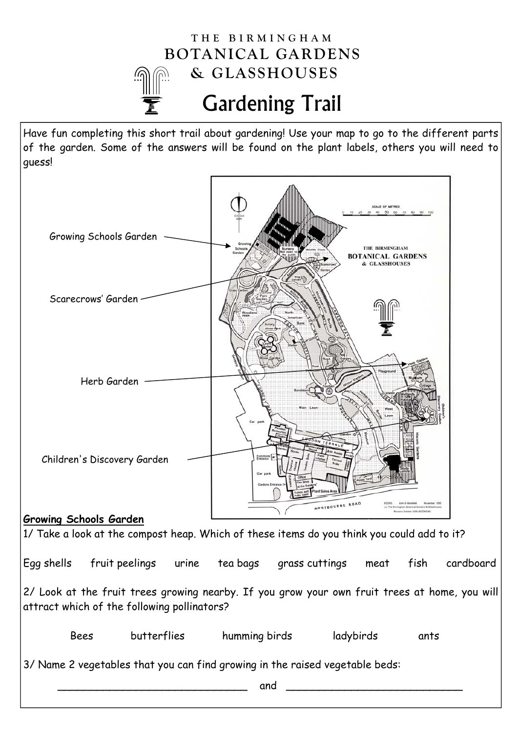## Gardening Trail **THE BIRMINGHAM BOTANICAL GARDENS & GLASSHOUSES**

Have fun completing this short trail about gardening! Use your map to go to the different parts of the garden. Some of the answers will be found on the plant labels, others you will need to guess!

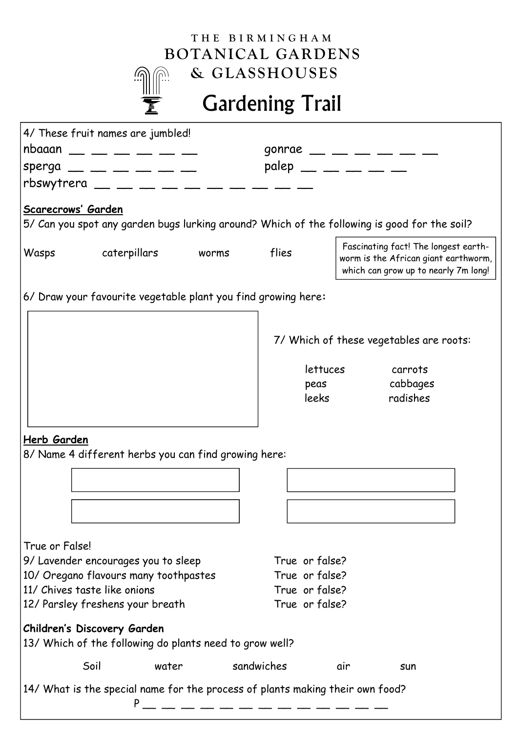## **THE BIRMINGHAM BOTANICAL GARDENS & GLASSHOUSES** رك (G

## Gardening Trail

| 4/ These fruit names are jumbled!                                                            |  |                                  |                                         |                                                                              |                                      |  |  |
|----------------------------------------------------------------------------------------------|--|----------------------------------|-----------------------------------------|------------------------------------------------------------------------------|--------------------------------------|--|--|
| $nbaaan$ __ __ __ __ __ __                                                                   |  | gonrae __ __ __ __ __ __         |                                         |                                                                              |                                      |  |  |
| $sperga$ __ __ __ __ __ __                                                                   |  | $p$ alep — — — — —               |                                         |                                                                              |                                      |  |  |
| rbswytrera $\_\_$ $\_\_$ $\_\_$ $\_\_$ $\_\_$ $\_\_$ $\_\_$ $\_\_$ $\_\_$                    |  |                                  |                                         |                                                                              |                                      |  |  |
| Scarecrows' Garden                                                                           |  |                                  |                                         |                                                                              |                                      |  |  |
| 5/ Can you spot any garden bugs lurking around? Which of the following is good for the soil? |  |                                  |                                         |                                                                              |                                      |  |  |
|                                                                                              |  |                                  |                                         |                                                                              |                                      |  |  |
| caterpillars worms<br>Wasps                                                                  |  | flies                            |                                         | Fascinating fact! The longest earth-<br>worm is the African giant earthworm, |                                      |  |  |
|                                                                                              |  |                                  |                                         |                                                                              | which can grow up to nearly 7m long! |  |  |
|                                                                                              |  |                                  |                                         |                                                                              |                                      |  |  |
| 6/ Draw your favourite vegetable plant you find growing here:                                |  |                                  |                                         |                                                                              |                                      |  |  |
|                                                                                              |  |                                  |                                         |                                                                              |                                      |  |  |
|                                                                                              |  |                                  | 7/ Which of these vegetables are roots: |                                                                              |                                      |  |  |
|                                                                                              |  |                                  |                                         |                                                                              |                                      |  |  |
|                                                                                              |  |                                  | lettuces                                |                                                                              | carrots                              |  |  |
|                                                                                              |  |                                  | peas<br>leeks                           |                                                                              | cabbages<br>radishes                 |  |  |
|                                                                                              |  |                                  |                                         |                                                                              |                                      |  |  |
|                                                                                              |  |                                  |                                         |                                                                              |                                      |  |  |
| Herb Garden                                                                                  |  |                                  |                                         |                                                                              |                                      |  |  |
| 8/ Name 4 different herbs you can find growing here:                                         |  |                                  |                                         |                                                                              |                                      |  |  |
|                                                                                              |  |                                  |                                         |                                                                              |                                      |  |  |
|                                                                                              |  |                                  |                                         |                                                                              |                                      |  |  |
|                                                                                              |  |                                  |                                         |                                                                              |                                      |  |  |
|                                                                                              |  |                                  |                                         |                                                                              |                                      |  |  |
| True or False!                                                                               |  |                                  |                                         |                                                                              |                                      |  |  |
| 9/ Lavender encourages you to sleep                                                          |  |                                  | True or false?                          |                                                                              |                                      |  |  |
| 10/ Oregano flavours many toothpastes                                                        |  | True or false?                   |                                         |                                                                              |                                      |  |  |
| 11/ Chives taste like onions                                                                 |  | True or false?<br>True or false? |                                         |                                                                              |                                      |  |  |
| 12/ Parsley freshens your breath                                                             |  |                                  |                                         |                                                                              |                                      |  |  |
| Children's Discovery Garden                                                                  |  |                                  |                                         |                                                                              |                                      |  |  |
| 13/ Which of the following do plants need to grow well?                                      |  |                                  |                                         |                                                                              |                                      |  |  |
| Soil<br>water                                                                                |  | sandwiches                       |                                         | air                                                                          | sun                                  |  |  |
|                                                                                              |  |                                  |                                         |                                                                              |                                      |  |  |
| 14/ What is the special name for the process of plants making their own food?<br>P           |  |                                  |                                         |                                                                              |                                      |  |  |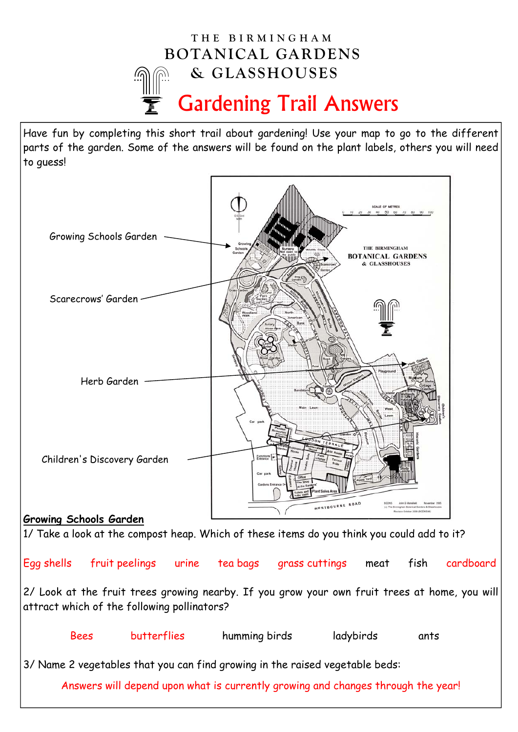

Have fun by completing this short trail about gardening! Use your map to go to the different parts of the garden. Some of the answers will be found on the plant labels, others you will need to guess!



Egg shells fruit peelings urine tea bags grass cuttings meat fish cardboard 2/ Look at the fruit trees growing nearby. If you grow your own fruit trees at home, you will attract which of the following pollinators?

 Bees butterflies humming birds ladybirds ants 3/ Name 2 vegetables that you can find growing in the raised vegetable beds: Answers will depend upon what is currently growing and changes through the year!